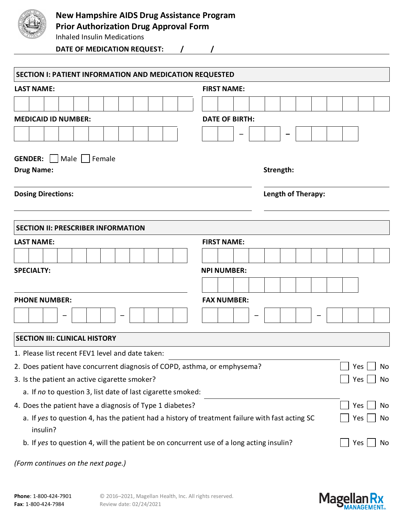

Inhaled Insulin Medications

**DATE OF MEDICATION REQUEST: / /**

| SECTION I: PATIENT INFORMATION AND MEDICATION REQUESTED                                                     |                                       |  |
|-------------------------------------------------------------------------------------------------------------|---------------------------------------|--|
| <b>LAST NAME:</b>                                                                                           | <b>FIRST NAME:</b>                    |  |
|                                                                                                             |                                       |  |
| <b>MEDICAID ID NUMBER:</b>                                                                                  | <b>DATE OF BIRTH:</b>                 |  |
|                                                                                                             |                                       |  |
| <b>GENDER:</b><br>Male   Female<br><b>Drug Name:</b>                                                        | Strength:                             |  |
| <b>Dosing Directions:</b>                                                                                   | Length of Therapy:                    |  |
| <b>SECTION II: PRESCRIBER INFORMATION</b>                                                                   |                                       |  |
| <b>LAST NAME:</b>                                                                                           | <b>FIRST NAME:</b>                    |  |
|                                                                                                             |                                       |  |
| <b>SPECIALTY:</b>                                                                                           | <b>NPI NUMBER:</b>                    |  |
|                                                                                                             |                                       |  |
| <b>PHONE NUMBER:</b>                                                                                        | <b>FAX NUMBER:</b>                    |  |
|                                                                                                             |                                       |  |
| <b>SECTION III: CLINICAL HISTORY</b>                                                                        |                                       |  |
| 1. Please list recent FEV1 level and date taken:                                                            |                                       |  |
| 2. Does patient have concurrent diagnosis of COPD, asthma, or emphysema?                                    | $\overline{\phantom{0}}$<br>Yes<br>No |  |
| 3. Is the patient an active cigarette smoker?                                                               | Yes<br>No                             |  |
| a. If no to question 3, list date of last cigarette smoked:                                                 |                                       |  |
| 4. Does the patient have a diagnosis of Type 1 diabetes?                                                    | Yes<br>No                             |  |
| a. If yes to question 4, has the patient had a history of treatment failure with fast acting SC<br>insulin? | Yes<br>No                             |  |
| b. If yes to question 4, will the patient be on concurrent use of a long acting insulin?                    | Yes<br><b>No</b>                      |  |
|                                                                                                             |                                       |  |

*(Form continues on the next page.)*